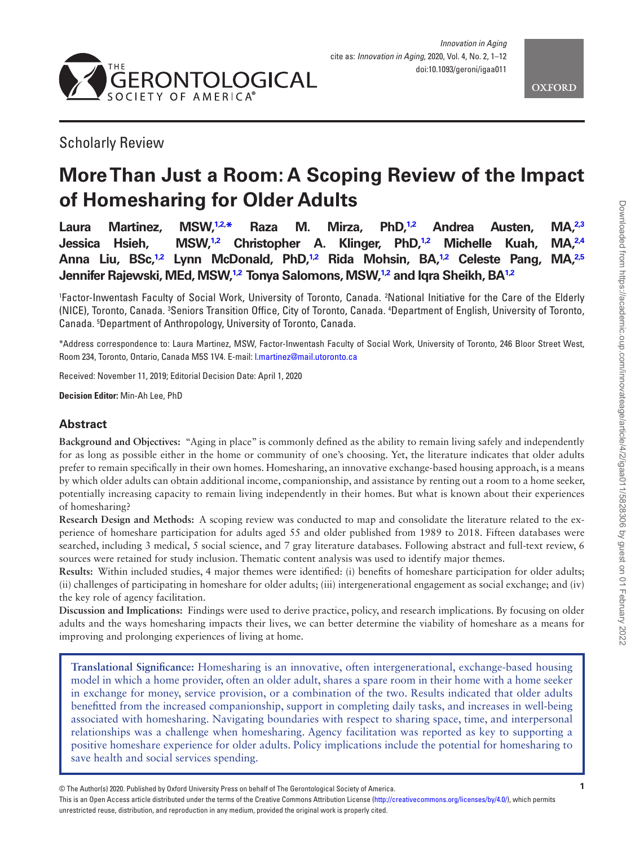

<span id="page-0-1"></span>

# Scholarly Review

# **More Than Just a Room: A Scoping Review of the Impact of Homesharing for Older Adults**

**Laura Martinez, MSW[,1](#page-0-0)[,2](#page-0-1), [\\*](#page-0-2) Raza M. Mirza, PhD[,1](#page-0-0)[,2](#page-0-1) Andrea Austen, MA[,2](#page-0-1)[,3](#page-0-3) Jessica Hsieh, Christopher A. Klinger, PhD[,1](#page-0-0)[,2](#page-0-1) Michelle Kuah, MA[,2](#page-0-1)[,4](#page-0-4) Anna Liu, BSc[,1](#page-0-0)[,2](#page-0-1) Lynn McDonald, PhD[,1](#page-0-0)[,2](#page-0-1) Rida Mohsin, BA[,1](#page-0-0)[,2](#page-0-1) Celeste Pang, MA[,2](#page-0-1)[,5](#page-0-5) Jennifer Rajewski, MEd, MSW[,1](#page-0-0)[,2](#page-0-1) Tonya Salomons, MSW[,1](#page-0-0)[,2](#page-0-1) and Iqra Sheikh, B[A1](#page-0-0)[,2](#page-0-1)**

<span id="page-0-4"></span><span id="page-0-3"></span><span id="page-0-0"></span>'Factor-Inwentash Faculty of Social Work, University of Toronto, Canada. <sup>2</sup>National Initiative for the Care of the Elderly (NICE), Toronto, Canada. 3 Seniors Transition Office, City of Toronto, Canada. 4 Department of English, University of Toronto, Canada. <sup>5</sup>Department of Anthropology, University of Toronto, Canada.

<span id="page-0-5"></span><span id="page-0-2"></span>\*Address correspondence to: Laura Martinez, MSW, Factor-Inwentash Faculty of Social Work, University of Toronto, 246 Bloor Street West, Room 234, Toronto, Ontario, Canada M5S 1V4. E-mail: [l.martinez@mail.utoronto.ca](mailto:l.martinez@mail.utoronto.ca?subject=)

Received: November 11, 2019; Editorial Decision Date: April 1, 2020

**Decision Editor:** Min-Ah Lee, PhD

# **Abstract**

**Background and Objectives:** "Aging in place" is commonly defined as the ability to remain living safely and independently for as long as possible either in the home or community of one's choosing. Yet, the literature indicates that older adults prefer to remain specifically in their own homes. Homesharing, an innovative exchange-based housing approach, is a means by which older adults can obtain additional income, companionship, and assistance by renting out a room to a home seeker, potentially increasing capacity to remain living independently in their homes. But what is known about their experiences of homesharing?

**Research Design and Methods:** A scoping review was conducted to map and consolidate the literature related to the experience of homeshare participation for adults aged 55 and older published from 1989 to 2018. Fifteen databases were searched, including 3 medical, 5 social science, and 7 gray literature databases. Following abstract and full-text review, 6 sources were retained for study inclusion. Thematic content analysis was used to identify major themes.

**Results:** Within included studies, 4 major themes were identified: (i) benefits of homeshare participation for older adults; (ii) challenges of participating in homeshare for older adults; (iii) intergenerational engagement as social exchange; and (iv) the key role of agency facilitation.

**Discussion and Implications:** Findings were used to derive practice, policy, and research implications. By focusing on older adults and the ways homesharing impacts their lives, we can better determine the viability of homeshare as a means for improving and prolonging experiences of living at home.

**Translational Significance:** Homesharing is an innovative, often intergenerational, exchange-based housing model in which a home provider, often an older adult, shares a spare room in their home with a home seeker in exchange for money, service provision, or a combination of the two. Results indicated that older adults benefitted from the increased companionship, support in completing daily tasks, and increases in well-being associated with homesharing. Navigating boundaries with respect to sharing space, time, and interpersonal relationships was a challenge when homesharing. Agency facilitation was reported as key to supporting a positive homeshare experience for older adults. Policy implications include the potential for homesharing to save health and social services spending.

This is an Open Access article distributed under the terms of the Creative Commons Attribution License [\(http://creativecommons.org/licenses/by/4.0/](http://creativecommons.org/licenses/by/4.0/)), which permits unrestricted reuse, distribution, and reproduction in any medium, provided the original work is properly cited.

<sup>©</sup> The Author(s) 2020. Published by Oxford University Press on behalf of The Gerontological Society of America.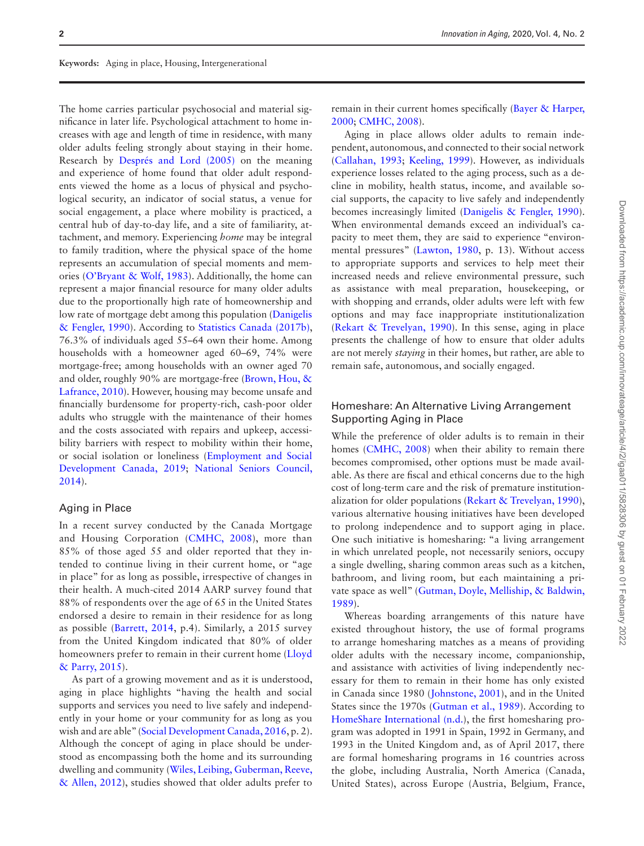L

The home carries particular psychosocial and material significance in later life. Psychological attachment to home increases with age and length of time in residence, with many older adults feeling strongly about staying in their home. Research by [Després and Lord \(2005\)](#page-10-0) on the meaning and experience of home found that older adult respondents viewed the home as a locus of physical and psychological security, an indicator of social status, a venue for social engagement, a place where mobility is practiced, a central hub of day-to-day life, and a site of familiarity, attachment, and memory. Experiencing *home* may be integral to family tradition, where the physical space of the home represents an accumulation of special moments and memories [\(O'Bryant & Wolf, 1983](#page-11-0)). Additionally, the home can represent a major financial resource for many older adults due to the proportionally high rate of homeownership and low rate of mortgage debt among this population [\(Danigelis](#page-10-1)  [& Fengler, 1990](#page-10-1)). According to [Statistics Canada \(2017b\),](#page-11-1) 76.3% of individuals aged 55–64 own their home. Among households with a homeowner aged 60–69, 74% were mortgage-free; among households with an owner aged 70 and older, roughly 90% are mortgage-free [\(Brown, Hou, &](#page-10-2)  [Lafrance, 2010](#page-10-2)). However, housing may become unsafe and financially burdensome for property-rich, cash-poor older adults who struggle with the maintenance of their homes and the costs associated with repairs and upkeep, accessibility barriers with respect to mobility within their home, or social isolation or loneliness [\(Employment and Social](#page-11-2)  [Development Canada, 2019;](#page-11-2) [National Seniors Council,](#page-11-3)  [2014](#page-11-3)).

#### Aging in Place

In a recent survey conducted by the Canada Mortgage and Housing Corporation [\(CMHC, 2008](#page-10-3)), more than 85% of those aged 55 and older reported that they intended to continue living in their current home, or "age in place" for as long as possible, irrespective of changes in their health. A much-cited 2014 AARP survey found that 88% of respondents over the age of 65 in the United States endorsed a desire to remain in their residence for as long as possible ([Barrett, 2014,](#page-10-4) p.4). Similarly, a 2015 survey from the United Kingdom indicated that 80% of older homeowners prefer to remain in their current home (Lloyd [& Parry, 2015\)](#page-11-4).

As part of a growing movement and as it is understood, aging in place highlights "having the health and social supports and services you need to live safely and independently in your home or your community for as long as you wish and are able" ([Social Development Canada, 2016,](#page-11-5) p. 2). Although the concept of aging in place should be understood as encompassing both the home and its surrounding dwelling and community ([Wiles, Leibing, Guberman, Reeve,](#page-11-6)  [& Allen, 2012\)](#page-11-6), studies showed that older adults prefer to

remain in their current homes specifically ([Bayer & Harper,](#page-10-5)  [2000;](#page-10-5) [CMHC, 2008](#page-10-3)).

Aging in place allows older adults to remain independent, autonomous, and connected to their social network ([Callahan, 1993;](#page-10-6) [Keeling, 1999\)](#page-11-7). However, as individuals experience losses related to the aging process, such as a decline in mobility, health status, income, and available social supports, the capacity to live safely and independently becomes increasingly limited [\(Danigelis & Fengler, 1990](#page-10-1)). When environmental demands exceed an individual's capacity to meet them, they are said to experience "environmental pressures" [\(Lawton, 1980](#page-11-8), p. 13). Without access to appropriate supports and services to help meet their increased needs and relieve environmental pressure, such as assistance with meal preparation, housekeeping, or with shopping and errands, older adults were left with few options and may face inappropriate institutionalization ([Rekart & Trevelyan, 1990\)](#page-11-9). In this sense, aging in place presents the challenge of how to ensure that older adults are not merely *staying* in their homes, but rather, are able to remain safe, autonomous, and socially engaged.

# Homeshare: An Alternative Living Arrangement Supporting Aging in Place

While the preference of older adults is to remain in their homes ([CMHC, 2008](#page-10-3)) when their ability to remain there becomes compromised, other options must be made available. As there are fiscal and ethical concerns due to the high cost of long-term care and the risk of premature institutionalization for older populations ([Rekart & Trevelyan, 1990](#page-11-9)), various alternative housing initiatives have been developed to prolong independence and to support aging in place. One such initiative is homesharing: "a living arrangement in which unrelated people, not necessarily seniors, occupy a single dwelling, sharing common areas such as a kitchen, bathroom, and living room, but each maintaining a private space as well" ([Gutman, Doyle, Melliship, & Baldwin,](#page-11-10)  [1989\)](#page-11-10).

Whereas boarding arrangements of this nature have existed throughout history, the use of formal programs to arrange homesharing matches as a means of providing older adults with the necessary income, companionship, and assistance with activities of living independently necessary for them to remain in their home has only existed in Canada since 1980 [\(Johnstone, 2001](#page-11-11)), and in the United States since the 1970s ([Gutman et al., 1989\)](#page-11-10). According to [HomeShare International \(n.d.](#page-11-12)), the first homesharing program was adopted in 1991 in Spain, 1992 in Germany, and 1993 in the United Kingdom and, as of April 2017, there are formal homesharing programs in 16 countries across the globe, including Australia, North America (Canada, United States), across Europe (Austria, Belgium, France,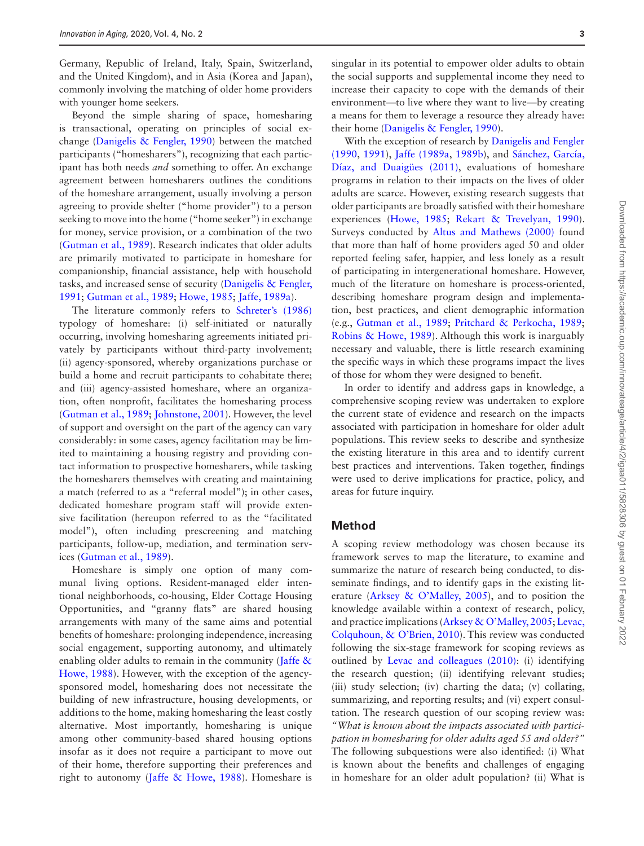Germany, Republic of Ireland, Italy, Spain, Switzerland, and the United Kingdom), and in Asia (Korea and Japan), commonly involving the matching of older home providers with younger home seekers.

Beyond the simple sharing of space, homesharing is transactional, operating on principles of social exchange ([Danigelis & Fengler, 1990](#page-10-1)) between the matched participants ("homesharers"), recognizing that each participant has both needs *and* something to offer. An exchange agreement between homesharers outlines the conditions of the homeshare arrangement, usually involving a person agreeing to provide shelter ("home provider") to a person seeking to move into the home ("home seeker") in exchange for money, service provision, or a combination of the two ([Gutman et al., 1989](#page-11-10)). Research indicates that older adults are primarily motivated to participate in homeshare for companionship, financial assistance, help with household tasks, and increased sense of security [\(Danigelis & Fengler,](#page-10-7)  [1991](#page-10-7); [Gutman et al., 1989;](#page-11-10) [Howe, 1985](#page-11-13); [Jaffe, 1989a](#page-11-14)).

The literature commonly refers to [Schreter's \(1986\)](#page-11-15) typology of homeshare: (i) self-initiated or naturally occurring, involving homesharing agreements initiated privately by participants without third-party involvement; (ii) agency-sponsored, whereby organizations purchase or build a home and recruit participants to cohabitate there; and (iii) agency-assisted homeshare, where an organization, often nonprofit, facilitates the homesharing process ([Gutman et al., 1989;](#page-11-10) [Johnstone, 2001](#page-11-11)). However, the level of support and oversight on the part of the agency can vary considerably: in some cases, agency facilitation may be limited to maintaining a housing registry and providing contact information to prospective homesharers, while tasking the homesharers themselves with creating and maintaining a match (referred to as a "referral model"); in other cases, dedicated homeshare program staff will provide extensive facilitation (hereupon referred to as the "facilitated model"), often including prescreening and matching participants, follow-up, mediation, and termination services ([Gutman et al., 1989](#page-11-10)).

Homeshare is simply one option of many communal living options. Resident-managed elder intentional neighborhoods, co-housing, Elder Cottage Housing Opportunities, and "granny flats" are shared housing arrangements with many of the same aims and potential benefits of homeshare: prolonging independence, increasing social engagement, supporting autonomy, and ultimately enabling older adults to remain in the community (Jaffe  $\&$ [Howe, 1988\)](#page-11-16). However, with the exception of the agencysponsored model, homesharing does not necessitate the building of new infrastructure, housing developments, or additions to the home, making homesharing the least costly alternative. Most importantly, homesharing is unique among other community-based shared housing options insofar as it does not require a participant to move out of their home, therefore supporting their preferences and right to autonomy [\(Jaffe & Howe, 1988\)](#page-11-16). Homeshare is

singular in its potential to empower older adults to obtain the social supports and supplemental income they need to increase their capacity to cope with the demands of their environment—to live where they want to live—by creating a means for them to leverage a resource they already have: their home [\(Danigelis & Fengler, 1990\)](#page-10-1).

With the exception of research by Danigelis and Fengler [\(1990](#page-10-1), [1991\)](#page-10-7), [Jaffe \(1989a,](#page-11-14) [1989b\)](#page-11-17), and [Sánchez, García,](#page-11-18)  [Díaz, and Duaigües \(2011\),](#page-11-18) evaluations of homeshare programs in relation to their impacts on the lives of older adults are scarce. However, existing research suggests that older participants are broadly satisfied with their homeshare experiences ([Howe, 1985](#page-11-13); [Rekart & Trevelyan, 1990](#page-11-9)). Surveys conducted by [Altus and Mathews \(2000\)](#page-10-8) found that more than half of home providers aged 50 and older reported feeling safer, happier, and less lonely as a result of participating in intergenerational homeshare. However, much of the literature on homeshare is process-oriented, describing homeshare program design and implementation, best practices, and client demographic information (e.g., [Gutman et al., 1989](#page-11-10); [Pritchard & Perkocha, 1989](#page-11-19); [Robins & Howe, 1989](#page-11-20)). Although this work is inarguably necessary and valuable, there is little research examining the specific ways in which these programs impact the lives of those for whom they were designed to benefit.

In order to identify and address gaps in knowledge, a comprehensive scoping review was undertaken to explore the current state of evidence and research on the impacts associated with participation in homeshare for older adult populations. This review seeks to describe and synthesize the existing literature in this area and to identify current best practices and interventions. Taken together, findings were used to derive implications for practice, policy, and areas for future inquiry.

#### **Method**

A scoping review methodology was chosen because its framework serves to map the literature, to examine and summarize the nature of research being conducted, to disseminate findings, and to identify gaps in the existing literature [\(Arksey & O'Malley, 2005\)](#page-10-9), and to position the knowledge available within a context of research, policy, and practice implications ([Arksey & O'Malley, 2005](#page-10-9); [Levac,](#page-11-21)  [Colquhoun, & O'Brien, 2010\)](#page-11-21). This review was conducted following the six-stage framework for scoping reviews as outlined by [Levac and colleagues \(2010\):](#page-11-21) (i) identifying the research question; (ii) identifying relevant studies; (iii) study selection; (iv) charting the data; (v) collating, summarizing, and reporting results; and (vi) expert consultation. The research question of our scoping review was: *"What is known about the impacts associated with participation in homesharing for older adults aged 55 and older?"* The following subquestions were also identified: (i) What is known about the benefits and challenges of engaging in homeshare for an older adult population? (ii) What is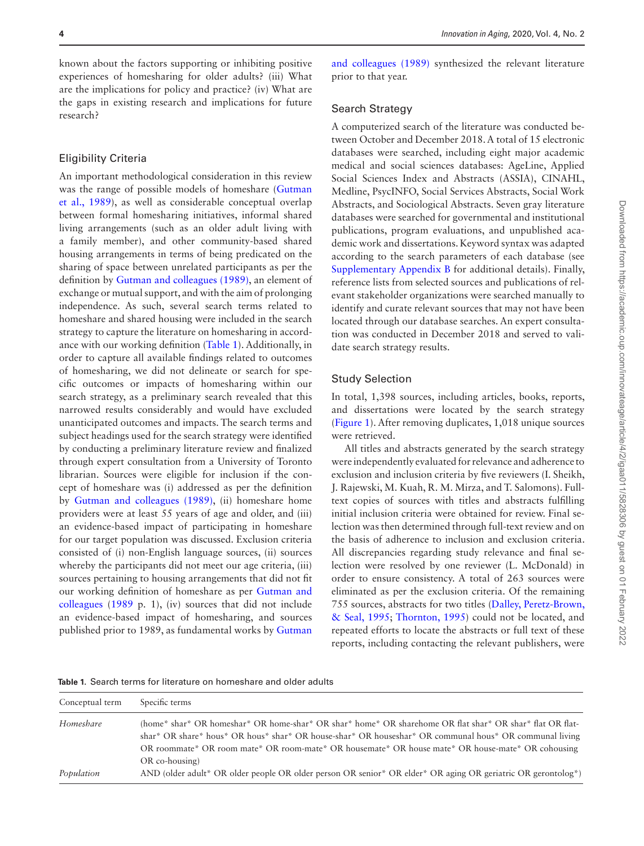known about the factors supporting or inhibiting positive experiences of homesharing for older adults? (iii) What are the implications for policy and practice? (iv) What are the gaps in existing research and implications for future research?

# Eligibility Criteria

An important methodological consideration in this review was the range of possible models of homeshare ([Gutman](#page-11-10)  [et al., 1989\)](#page-11-10), as well as considerable conceptual overlap between formal homesharing initiatives, informal shared living arrangements (such as an older adult living with a family member), and other community-based shared housing arrangements in terms of being predicated on the sharing of space between unrelated participants as per the definition by [Gutman and colleagues \(1989\)](#page-11-10), an element of exchange or mutual support, and with the aim of prolonging independence. As such, several search terms related to homeshare and shared housing were included in the search strategy to capture the literature on homesharing in accordance with our working definition ([Table 1](#page-3-0)). Additionally, in order to capture all available findings related to outcomes of homesharing, we did not delineate or search for specific outcomes or impacts of homesharing within our search strategy, as a preliminary search revealed that this narrowed results considerably and would have excluded unanticipated outcomes and impacts. The search terms and subject headings used for the search strategy were identified by conducting a preliminary literature review and finalized through expert consultation from a University of Toronto librarian. Sources were eligible for inclusion if the concept of homeshare was (i) addressed as per the definition by [Gutman and colleagues \(1989\),](#page-11-10) (ii) homeshare home providers were at least 55 years of age and older, and (iii) an evidence-based impact of participating in homeshare for our target population was discussed. Exclusion criteria consisted of (i) non-English language sources, (ii) sources whereby the participants did not meet our age criteria, (iii) sources pertaining to housing arrangements that did not fit our working definition of homeshare as per [Gutman and](#page-11-10)  [colleagues](#page-11-10) ([1989](#page-11-10) p. 1), (iv) sources that did not include an evidence-based impact of homesharing, and sources published prior to 1989, as fundamental works by [Gutman](#page-11-10) 

[and colleagues \(1989\)](#page-11-10) synthesized the relevant literature prior to that year.

#### Search Strategy

A computerized search of the literature was conducted between October and December 2018. A total of 15 electronic databases were searched, including eight major academic medical and social sciences databases: AgeLine, Applied Social Sciences Index and Abstracts (ASSIA), CINAHL, Medline, PsycINFO, Social Services Abstracts, Social Work Abstracts, and Sociological Abstracts. Seven gray literature databases were searched for governmental and institutional publications, program evaluations, and unpublished academic work and dissertations. Keyword syntax was adapted according to the search parameters of each database (see [Supplementary Appendix B](http://academic.oup.com/innovateage/article-lookup/doi/10.1093/geroni/igaa011#supplementary-data) for additional details). Finally, reference lists from selected sources and publications of relevant stakeholder organizations were searched manually to identify and curate relevant sources that may not have been located through our database searches. An expert consultation was conducted in December 2018 and served to validate search strategy results.

# Study Selection

In total, 1,398 sources, including articles, books, reports, and dissertations were located by the search strategy ([Figure 1](#page-4-0)). After removing duplicates, 1,018 unique sources were retrieved.

All titles and abstracts generated by the search strategy were independently evaluated for relevance and adherence to exclusion and inclusion criteria by five reviewers (I. Sheikh, J. Rajewski, M. Kuah, R. M. Mirza, and T. Salomons). Fulltext copies of sources with titles and abstracts fulfilling initial inclusion criteria were obtained for review. Final selection was then determined through full-text review and on the basis of adherence to inclusion and exclusion criteria. All discrepancies regarding study relevance and final selection were resolved by one reviewer (L. McDonald) in order to ensure consistency. A total of 263 sources were eliminated as per the exclusion criteria. Of the remaining 755 sources, abstracts for two titles ([Dalley, Peretz-Brown,](#page-10-10)  [& Seal, 1995;](#page-10-10) [Thornton, 1995\)](#page-11-22) could not be located, and repeated efforts to locate the abstracts or full text of these reports, including contacting the relevant publishers, were

<span id="page-3-0"></span>**Table 1.** Search terms for literature on homeshare and older adults

| Conceptual term | Specific terms                                                                                                                                                                                                                                                                                                                             |
|-----------------|--------------------------------------------------------------------------------------------------------------------------------------------------------------------------------------------------------------------------------------------------------------------------------------------------------------------------------------------|
| Homeshare       | (home* shar* OR homeshar* OR home-shar* OR shar* home* OR sharehome OR flat shar* OR shar* flat OR flat-<br>shar* OR share* hous* OR hous* shar* OR house-shar* OR houseshar* OR communal hous* OR communal living<br>OR roommate* OR room mate* OR room-mate* OR housemate* OR house mate* OR house-mate* OR cohousing<br>$OR co-housing$ |
| Population      | AND (older adult* OR older people OR older person OR senior* OR elder* OR aging OR geriatric OR gerontolog*)                                                                                                                                                                                                                               |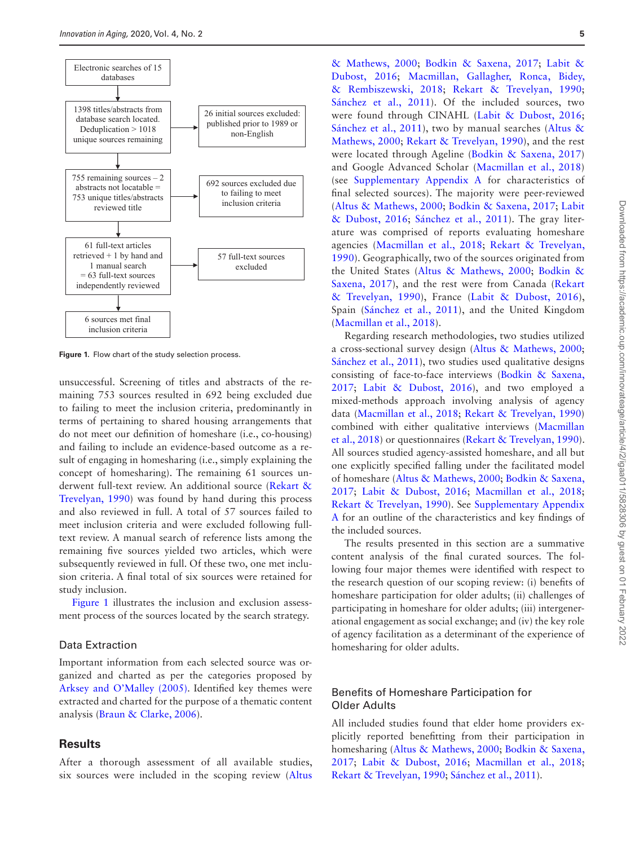

<span id="page-4-0"></span>**Figure 1.** Flow chart of the study selection process.

unsuccessful. Screening of titles and abstracts of the remaining 753 sources resulted in 692 being excluded due to failing to meet the inclusion criteria, predominantly in terms of pertaining to shared housing arrangements that do not meet our definition of homeshare (i.e., co-housing) and failing to include an evidence-based outcome as a result of engaging in homesharing (i.e., simply explaining the concept of homesharing). The remaining 61 sources underwent full-text review. An additional source [\(Rekart &](#page-11-9)  [Trevelyan, 1990](#page-11-9)) was found by hand during this process and also reviewed in full. A total of 57 sources failed to meet inclusion criteria and were excluded following fulltext review. A manual search of reference lists among the remaining five sources yielded two articles, which were subsequently reviewed in full. Of these two, one met inclusion criteria. A final total of six sources were retained for study inclusion.

[Figure 1](#page-4-0) illustrates the inclusion and exclusion assessment process of the sources located by the search strategy.

#### Data Extraction

Important information from each selected source was organized and charted as per the categories proposed by [Arksey and O'Malley \(2005\)](#page-10-9). Identified key themes were extracted and charted for the purpose of a thematic content analysis ([Braun & Clarke, 2006\)](#page-10-11).

#### **Results**

After a thorough assessment of all available studies, six sources were included in the scoping review [\(Altus](#page-10-8) 

[& Mathews, 2000;](#page-10-8) [Bodkin & Saxena, 2017](#page-10-12); [Labit &](#page-11-23)  [Dubost, 2016](#page-11-23); [Macmillan, Gallagher, Ronca, Bidey,](#page-11-24)  [& Rembiszewski, 2018;](#page-11-24) [Rekart & Trevelyan, 1990](#page-11-9); Sánchez et al., 2011). Of the included sources, two were found through CINAHL [\(Labit & Dubost, 2016](#page-11-23); [Sánchez et al., 2011\)](#page-11-18), two by manual searches ([Altus &](#page-10-8)  [Mathews, 2000](#page-10-8); [Rekart & Trevelyan, 1990\)](#page-11-9), and the rest were located through Ageline [\(Bodkin & Saxena, 2017\)](#page-10-12) and Google Advanced Scholar ([Macmillan et al., 2018\)](#page-11-24) (see [Supplementary Appendix A](http://academic.oup.com/innovateage/article-lookup/doi/10.1093/geroni/igaa011#supplementary-data) for characteristics of final selected sources). The majority were peer-reviewed ([Altus & Mathews, 2000;](#page-10-8) [Bodkin & Saxena, 2017;](#page-10-12) [Labit](#page-11-23)  [& Dubost, 2016](#page-11-23); [Sánchez et al., 2011](#page-11-18)). The gray literature was comprised of reports evaluating homeshare agencies ([Macmillan et al., 2018](#page-11-24); [Rekart & Trevelyan,](#page-11-9)  [1990\)](#page-11-9). Geographically, two of the sources originated from the United States ([Altus & Mathews, 2000](#page-10-8); [Bodkin &](#page-10-12)  [Saxena, 2017\)](#page-10-12), and the rest were from Canada ([Rekart](#page-11-9)  [& Trevelyan, 1990\)](#page-11-9), France ([Labit & Dubost, 2016](#page-11-23)), Spain ([Sánchez et al., 2011](#page-11-18)), and the United Kingdom ([Macmillan et al., 2018](#page-11-24)).

Regarding research methodologies, two studies utilized a cross-sectional survey design ([Altus & Mathews, 2000](#page-10-8); [Sánchez et al., 2011\)](#page-11-18), two studies used qualitative designs consisting of face-to-face interviews [\(Bodkin & Saxena,](#page-10-12)  [2017](#page-10-12); [Labit & Dubost, 2016\)](#page-11-23), and two employed a mixed-methods approach involving analysis of agency data ([Macmillan et al., 2018;](#page-11-24) [Rekart & Trevelyan, 1990\)](#page-11-9) combined with either qualitative interviews [\(Macmillan](#page-11-24)  [et al., 2018](#page-11-24)) or questionnaires ([Rekart & Trevelyan, 1990](#page-11-9)). All sources studied agency-assisted homeshare, and all but one explicitly specified falling under the facilitated model of homeshare ([Altus & Mathews, 2000;](#page-10-8) [Bodkin & Saxena,](#page-10-12)  [2017](#page-10-12); [Labit & Dubost, 2016](#page-11-23); [Macmillan et al., 2018](#page-11-24); [Rekart & Trevelyan, 1990](#page-11-9)). See [Supplementary Appendix](http://academic.oup.com/innovateage/article-lookup/doi/10.1093/geroni/igaa011#supplementary-data)  [A](http://academic.oup.com/innovateage/article-lookup/doi/10.1093/geroni/igaa011#supplementary-data) for an outline of the characteristics and key findings of the included sources.

The results presented in this section are a summative content analysis of the final curated sources. The following four major themes were identified with respect to the research question of our scoping review: (i) benefits of homeshare participation for older adults; (ii) challenges of participating in homeshare for older adults; (iii) intergenerational engagement as social exchange; and (iv) the key role of agency facilitation as a determinant of the experience of homesharing for older adults.

# Benefits of Homeshare Participation for Older Adults

All included studies found that elder home providers explicitly reported benefitting from their participation in homesharing ([Altus & Mathews, 2000;](#page-10-8) Bodkin & Saxena, [2017](#page-10-12); [Labit & Dubost, 2016](#page-11-23); [Macmillan et al., 2018](#page-11-24); [Rekart & Trevelyan, 1990;](#page-11-9) [Sánchez et al., 2011](#page-11-18)).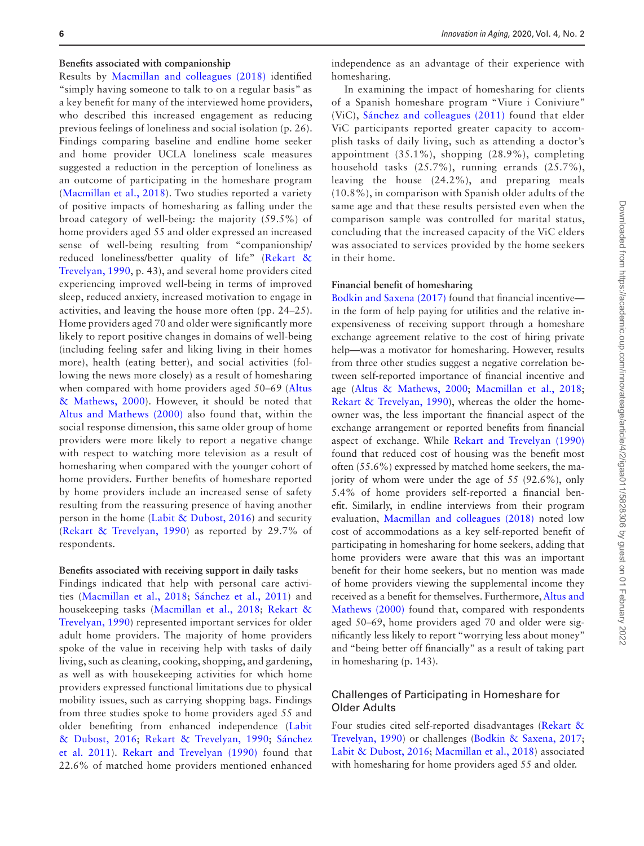#### **Benefits associated with companionship**

Results by [Macmillan and colleagues \(2018\)](#page-11-24) identified "simply having someone to talk to on a regular basis" as a key benefit for many of the interviewed home providers, who described this increased engagement as reducing previous feelings of loneliness and social isolation (p. 26). Findings comparing baseline and endline home seeker and home provider UCLA loneliness scale measures suggested a reduction in the perception of loneliness as an outcome of participating in the homeshare program ([Macmillan et al., 2018](#page-11-24)). Two studies reported a variety of positive impacts of homesharing as falling under the broad category of well-being: the majority (59.5%) of home providers aged 55 and older expressed an increased sense of well-being resulting from "companionship/ reduced loneliness/better quality of life" ([Rekart &](#page-11-9)  [Trevelyan, 1990,](#page-11-9) p. 43), and several home providers cited experiencing improved well-being in terms of improved sleep, reduced anxiety, increased motivation to engage in activities, and leaving the house more often (pp. 24–25). Home providers aged 70 and older were significantly more likely to report positive changes in domains of well-being (including feeling safer and liking living in their homes more), health (eating better), and social activities (following the news more closely) as a result of homesharing when compared with home providers aged 50–69 ([Altus](#page-10-8)  [& Mathews, 2000](#page-10-8)). However, it should be noted that [Altus and Mathews \(2000\)](#page-10-8) also found that, within the social response dimension, this same older group of home providers were more likely to report a negative change with respect to watching more television as a result of homesharing when compared with the younger cohort of home providers. Further benefits of homeshare reported by home providers include an increased sense of safety resulting from the reassuring presence of having another person in the home ([Labit & Dubost, 2016\)](#page-11-23) and security ([Rekart & Trevelyan, 1990](#page-11-9)) as reported by 29.7% of respondents.

#### **Benefits associated with receiving support in daily tasks**

Findings indicated that help with personal care activities ([Macmillan et al., 2018](#page-11-24); [Sánchez et al., 2011](#page-11-18)) and housekeeping tasks [\(Macmillan et al., 2018](#page-11-24); [Rekart &](#page-11-9)  [Trevelyan, 1990](#page-11-9)) represented important services for older adult home providers. The majority of home providers spoke of the value in receiving help with tasks of daily living, such as cleaning, cooking, shopping, and gardening, as well as with housekeeping activities for which home providers expressed functional limitations due to physical mobility issues, such as carrying shopping bags. Findings from three studies spoke to home providers aged 55 and older benefiting from enhanced independence [\(Labit](#page-11-23)  [& Dubost, 2016;](#page-11-23) [Rekart & Trevelyan, 1990;](#page-11-9) [Sánchez](#page-11-18)  [et al. 2011\)](#page-11-18). [Rekart and Trevelyan \(1990\)](#page-11-9) found that 22.6% of matched home providers mentioned enhanced

independence as an advantage of their experience with homesharing.

In examining the impact of homesharing for clients of a Spanish homeshare program "Viure i Coniviure" (ViC), [Sánchez and colleagues \(2011\)](#page-11-18) found that elder ViC participants reported greater capacity to accomplish tasks of daily living, such as attending a doctor's appointment (35.1%), shopping (28.9%), completing household tasks (25.7%), running errands (25.7%), leaving the house (24.2%), and preparing meals (10.8%), in comparison with Spanish older adults of the same age and that these results persisted even when the comparison sample was controlled for marital status, concluding that the increased capacity of the ViC elders was associated to services provided by the home seekers in their home.

#### **Financial benefit of homesharing**

[Bodkin and Saxena \(2017\)](#page-10-12) found that financial incentive in the form of help paying for utilities and the relative inexpensiveness of receiving support through a homeshare exchange agreement relative to the cost of hiring private help—was a motivator for homesharing. However, results from three other studies suggest a negative correlation between self-reported importance of financial incentive and age [\(Altus & Mathews, 2000;](#page-10-8) [Macmillan et al., 2018](#page-11-24); [Rekart & Trevelyan, 1990\)](#page-11-9), whereas the older the homeowner was, the less important the financial aspect of the exchange arrangement or reported benefits from financial aspect of exchange. While [Rekart and Trevelyan \(1990\)](#page-11-9) found that reduced cost of housing was the benefit most often (55.6%) expressed by matched home seekers, the majority of whom were under the age of 55 (92.6%), only 5.4% of home providers self-reported a financial benefit. Similarly, in endline interviews from their program evaluation, [Macmillan and colleagues \(2018\)](#page-11-24) noted low cost of accommodations as a key self-reported benefit of participating in homesharing for home seekers, adding that home providers were aware that this was an important benefit for their home seekers, but no mention was made of home providers viewing the supplemental income they received as a benefit for themselves. Furthermore, [Altus and](#page-10-8)  [Mathews \(2000\)](#page-10-8) found that, compared with respondents aged 50–69, home providers aged 70 and older were significantly less likely to report "worrying less about money" and "being better off financially" as a result of taking part in homesharing (p. 143).

# Challenges of Participating in Homeshare for Older Adults

Four studies cited self-reported disadvantages ([Rekart &](#page-11-9)  [Trevelyan, 1990](#page-11-9)) or challenges ([Bodkin & Saxena, 2017](#page-10-12); [Labit & Dubost, 2016](#page-11-23); [Macmillan et al., 2018](#page-11-24)) associated with homesharing for home providers aged 55 and older.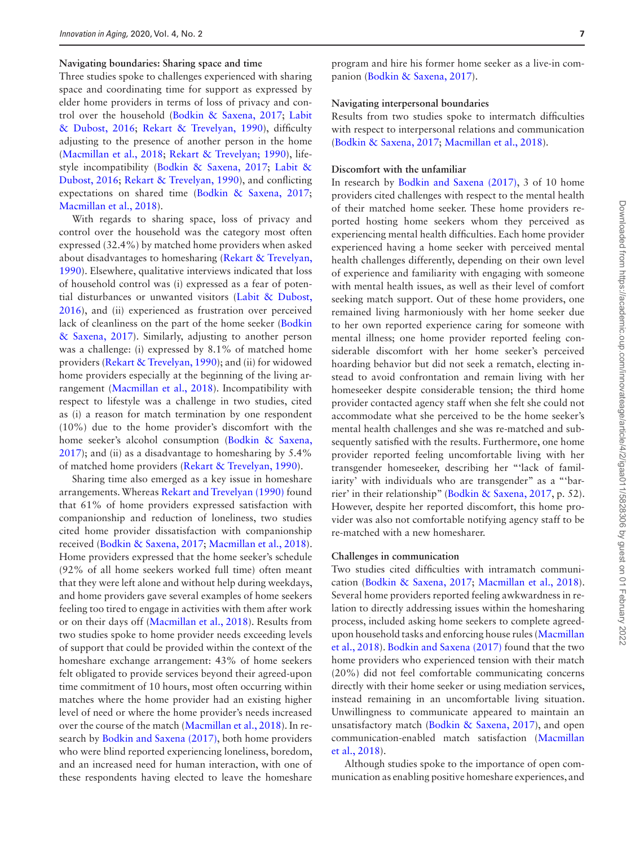#### **Navigating boundaries: Sharing space and time**

Three studies spoke to challenges experienced with sharing space and coordinating time for support as expressed by elder home providers in terms of loss of privacy and control over the household ([Bodkin & Saxena, 2017;](#page-10-12) [Labit](#page-11-23)  [& Dubost, 2016;](#page-11-23) [Rekart & Trevelyan, 1990](#page-11-9)), difficulty adjusting to the presence of another person in the home ([Macmillan et al., 2018;](#page-11-24) [Rekart & Trevelyan; 1990\)](#page-11-9), lifestyle incompatibility [\(Bodkin & Saxena, 2017](#page-10-12); [Labit &](#page-11-23)  [Dubost, 2016;](#page-11-23) [Rekart & Trevelyan, 1990](#page-11-9)), and conflicting expectations on shared time [\(Bodkin & Saxena, 2017](#page-10-12); [Macmillan et al., 2018](#page-11-24)).

With regards to sharing space, loss of privacy and control over the household was the category most often expressed (32.4%) by matched home providers when asked about disadvantages to homesharing ([Rekart & Trevelyan,](#page-11-9)  [1990](#page-11-9)). Elsewhere, qualitative interviews indicated that loss of household control was (i) expressed as a fear of potential disturbances or unwanted visitors ([Labit & Dubost,](#page-11-23)  [2016](#page-11-23)), and (ii) experienced as frustration over perceived lack of cleanliness on the part of the home seeker ([Bodkin](#page-10-12)  [& Saxena, 2017\)](#page-10-12). Similarly, adjusting to another person was a challenge: (i) expressed by 8.1% of matched home providers [\(Rekart & Trevelyan, 1990\)](#page-11-9); and (ii) for widowed home providers especially at the beginning of the living arrangement [\(Macmillan et al., 2018](#page-11-24)). Incompatibility with respect to lifestyle was a challenge in two studies, cited as (i) a reason for match termination by one respondent (10%) due to the home provider's discomfort with the home seeker's alcohol consumption (Bodkin & Saxena, [2017](#page-10-12)); and (ii) as a disadvantage to homesharing by 5.4% of matched home providers ([Rekart & Trevelyan, 1990\)](#page-11-9).

Sharing time also emerged as a key issue in homeshare arrangements. Whereas [Rekart and Trevelyan \(1990\)](#page-11-9) found that 61% of home providers expressed satisfaction with companionship and reduction of loneliness, two studies cited home provider dissatisfaction with companionship received [\(Bodkin & Saxena, 2017](#page-10-12); [Macmillan et al., 2018](#page-11-24)). Home providers expressed that the home seeker's schedule (92% of all home seekers worked full time) often meant that they were left alone and without help during weekdays, and home providers gave several examples of home seekers feeling too tired to engage in activities with them after work or on their days off [\(Macmillan et al., 2018\)](#page-11-24). Results from two studies spoke to home provider needs exceeding levels of support that could be provided within the context of the homeshare exchange arrangement: 43% of home seekers felt obligated to provide services beyond their agreed-upon time commitment of 10 hours, most often occurring within matches where the home provider had an existing higher level of need or where the home provider's needs increased over the course of the match ([Macmillan et al., 2018](#page-11-24)). In research by [Bodkin and Saxena \(2017\),](#page-10-12) both home providers who were blind reported experiencing loneliness, boredom, and an increased need for human interaction, with one of these respondents having elected to leave the homeshare

program and hire his former home seeker as a live-in companion [\(Bodkin & Saxena, 2017](#page-10-12)).

#### **Navigating interpersonal boundaries**

Results from two studies spoke to intermatch difficulties with respect to interpersonal relations and communication ([Bodkin & Saxena, 2017](#page-10-12); [Macmillan et al., 2018\)](#page-11-24).

#### **Discomfort with the unfamiliar**

In research by [Bodkin and Saxena \(2017\)](#page-10-12), 3 of 10 home providers cited challenges with respect to the mental health of their matched home seeker. These home providers reported hosting home seekers whom they perceived as experiencing mental health difficulties. Each home provider experienced having a home seeker with perceived mental health challenges differently, depending on their own level of experience and familiarity with engaging with someone with mental health issues, as well as their level of comfort seeking match support. Out of these home providers, one remained living harmoniously with her home seeker due to her own reported experience caring for someone with mental illness; one home provider reported feeling considerable discomfort with her home seeker's perceived hoarding behavior but did not seek a rematch, electing instead to avoid confrontation and remain living with her homeseeker despite considerable tension; the third home provider contacted agency staff when she felt she could not accommodate what she perceived to be the home seeker's mental health challenges and she was re-matched and subsequently satisfied with the results. Furthermore, one home provider reported feeling uncomfortable living with her transgender homeseeker, describing her "'lack of familiarity' with individuals who are transgender" as a "'barrier' in their relationship" [\(Bodkin & Saxena, 2017](#page-10-12), p. 52). However, despite her reported discomfort, this home provider was also not comfortable notifying agency staff to be re-matched with a new homesharer.

#### **Challenges in communication**

Two studies cited difficulties with intramatch communication ([Bodkin & Saxena, 2017](#page-10-12); [Macmillan et al., 2018](#page-11-24)). Several home providers reported feeling awkwardness in relation to directly addressing issues within the homesharing process, included asking home seekers to complete agreedupon household tasks and enforcing house rules [\(Macmillan](#page-11-24)  [et al., 2018\)](#page-11-24). [Bodkin and Saxena \(2017\)](#page-10-12) found that the two home providers who experienced tension with their match (20%) did not feel comfortable communicating concerns directly with their home seeker or using mediation services, instead remaining in an uncomfortable living situation. Unwillingness to communicate appeared to maintain an unsatisfactory match ([Bodkin & Saxena, 2017\)](#page-10-12), and open communication-enabled match satisfaction [\(Macmillan](#page-11-24)  [et al., 2018\)](#page-11-24).

Although studies spoke to the importance of open communication as enabling positive homeshare experiences, and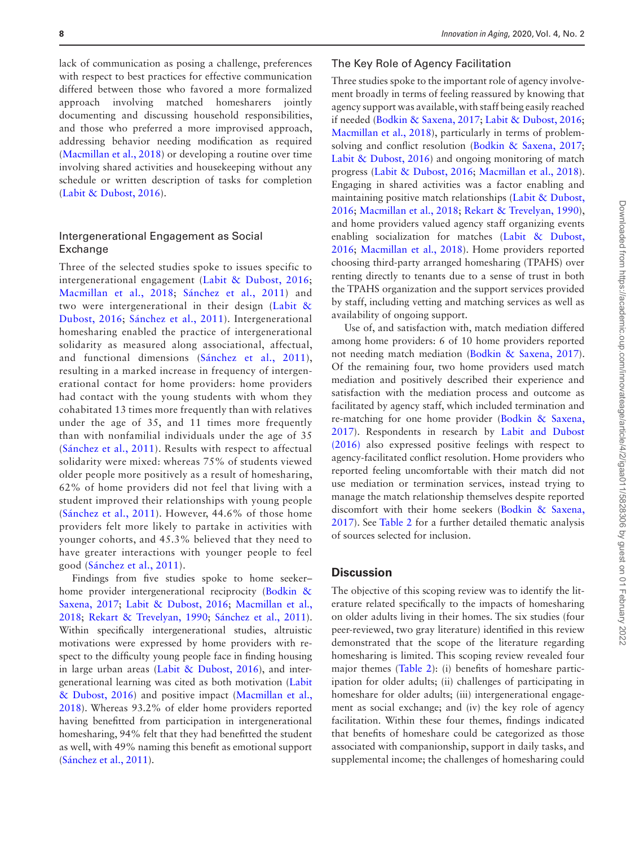lack of communication as posing a challenge, preferences with respect to best practices for effective communication differed between those who favored a more formalized approach involving matched homesharers jointly documenting and discussing household responsibilities, and those who preferred a more improvised approach, addressing behavior needing modification as required ([Macmillan et al., 2018](#page-11-24)) or developing a routine over time involving shared activities and housekeeping without any schedule or written description of tasks for completion ([Labit & Dubost, 2016](#page-11-23)).

# Intergenerational Engagement as Social Exchange

Three of the selected studies spoke to issues specific to intergenerational engagement ([Labit & Dubost, 2016](#page-11-23); [Macmillan et al., 2018;](#page-11-24) [Sánchez et al., 2011\)](#page-11-18) and two were intergenerational in their design [\(Labit &](#page-11-23)  [Dubost, 2016](#page-11-23); [Sánchez et al., 2011\)](#page-11-18). Intergenerational homesharing enabled the practice of intergenerational solidarity as measured along associational, affectual, and functional dimensions ([Sánchez et al., 2011](#page-11-18)), resulting in a marked increase in frequency of intergenerational contact for home providers: home providers had contact with the young students with whom they cohabitated 13 times more frequently than with relatives under the age of 35, and 11 times more frequently than with nonfamilial individuals under the age of 35 ([Sánchez et al., 2011](#page-11-18)). Results with respect to affectual solidarity were mixed: whereas 75% of students viewed older people more positively as a result of homesharing, 62% of home providers did not feel that living with a student improved their relationships with young people ([Sánchez et al., 2011\)](#page-11-18). However, 44.6% of those home providers felt more likely to partake in activities with younger cohorts, and 45.3% believed that they need to have greater interactions with younger people to feel good ([Sánchez et al., 2011\)](#page-11-18).

Findings from five studies spoke to home seeker– home provider intergenerational reciprocity (Bodkin & [Saxena, 2017;](#page-10-12) [Labit & Dubost, 2016](#page-11-23); [Macmillan et al.,](#page-11-24)  [2018](#page-11-24); [Rekart & Trevelyan, 1990](#page-11-9); [Sánchez et al., 2011](#page-11-18)). Within specifically intergenerational studies, altruistic motivations were expressed by home providers with respect to the difficulty young people face in finding housing in large urban areas [\(Labit & Dubost, 2016](#page-11-23)), and intergenerational learning was cited as both motivation ([Labit](#page-11-23)  [& Dubost, 2016](#page-11-23)) and positive impact [\(Macmillan et al.,](#page-11-24)  [2018](#page-11-24)). Whereas 93.2% of elder home providers reported having benefitted from participation in intergenerational homesharing, 94% felt that they had benefitted the student as well, with 49% naming this benefit as emotional support ([Sánchez et al., 2011](#page-11-18)).

#### The Key Role of Agency Facilitation

Three studies spoke to the important role of agency involvement broadly in terms of feeling reassured by knowing that agency support was available, with staff being easily reached if needed ([Bodkin & Saxena, 2017;](#page-10-12) [Labit & Dubost, 2016](#page-11-23); [Macmillan et al., 2018\)](#page-11-24), particularly in terms of problem-solving and conflict resolution ([Bodkin & Saxena, 2017](#page-10-12); [Labit & Dubost, 2016\)](#page-11-23) and ongoing monitoring of match progress [\(Labit & Dubost, 2016](#page-11-23); [Macmillan et al., 2018](#page-11-24)). Engaging in shared activities was a factor enabling and maintaining positive match relationships [\(Labit & Dubost,](#page-11-23)  [2016](#page-11-23); [Macmillan et al., 2018](#page-11-24); [Rekart & Trevelyan, 1990](#page-11-9)), and home providers valued agency staff organizing events enabling socialization for matches [\(Labit & Dubost,](#page-11-23)  [2016](#page-11-23); [Macmillan et al., 2018\)](#page-11-24). Home providers reported choosing third-party arranged homesharing (TPAHS) over renting directly to tenants due to a sense of trust in both the TPAHS organization and the support services provided by staff, including vetting and matching services as well as availability of ongoing support.

Use of, and satisfaction with, match mediation differed among home providers: 6 of 10 home providers reported not needing match mediation ([Bodkin & Saxena, 2017](#page-10-12)). Of the remaining four, two home providers used match mediation and positively described their experience and satisfaction with the mediation process and outcome as facilitated by agency staff, which included termination and re-matching for one home provider [\(Bodkin & Saxena,](#page-10-12)  [2017](#page-10-12)). Respondents in research by [Labit and Dubost](#page-11-23)  [\(2016\)](#page-11-23) also expressed positive feelings with respect to agency-facilitated conflict resolution. Home providers who reported feeling uncomfortable with their match did not use mediation or termination services, instead trying to manage the match relationship themselves despite reported discomfort with their home seekers [\(Bodkin & Saxena,](#page-10-12)  [2017](#page-10-12)). See [Table 2](#page-8-0) for a further detailed thematic analysis of sources selected for inclusion.

# **Discussion**

The objective of this scoping review was to identify the literature related specifically to the impacts of homesharing on older adults living in their homes. The six studies (four peer-reviewed, two gray literature) identified in this review demonstrated that the scope of the literature regarding homesharing is limited. This scoping review revealed four major themes ([Table 2](#page-8-0)): (i) benefits of homeshare participation for older adults; (ii) challenges of participating in homeshare for older adults; (iii) intergenerational engagement as social exchange; and (iv) the key role of agency facilitation. Within these four themes, findings indicated that benefits of homeshare could be categorized as those associated with companionship, support in daily tasks, and supplemental income; the challenges of homesharing could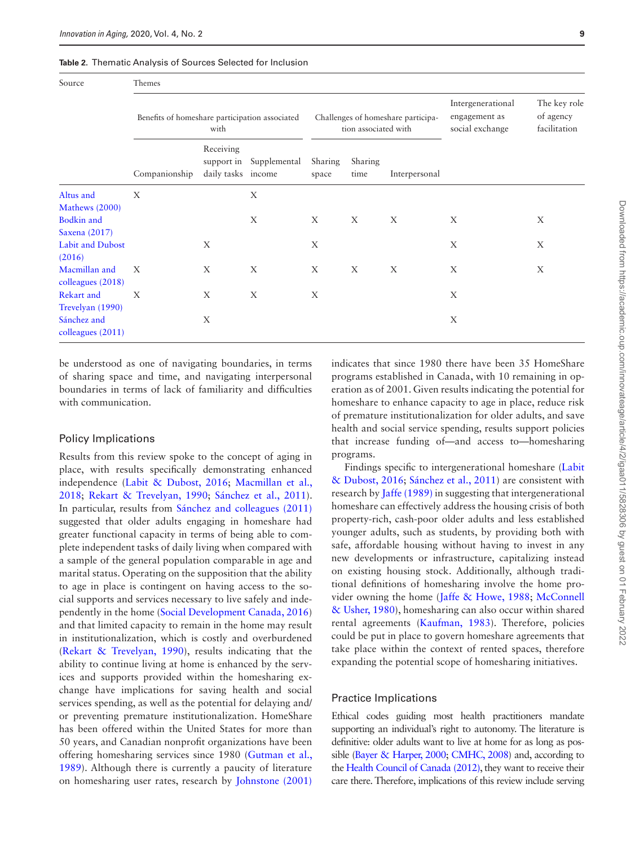<span id="page-8-0"></span>**Table 2.** Thematic Analysis of Sources Selected for Inclusion

| Source                                               | Themes                                                 |                                 |                         |                                                            |                 |               |                                                       |                                           |  |
|------------------------------------------------------|--------------------------------------------------------|---------------------------------|-------------------------|------------------------------------------------------------|-----------------|---------------|-------------------------------------------------------|-------------------------------------------|--|
|                                                      | Benefits of homeshare participation associated<br>with |                                 |                         | Challenges of homeshare participa-<br>tion associated with |                 |               | Intergenerational<br>engagement as<br>social exchange | The key role<br>of agency<br>facilitation |  |
|                                                      | Companionship                                          | Receiving<br>daily tasks income | support in Supplemental | Sharing<br>space                                           | Sharing<br>time | Interpersonal |                                                       |                                           |  |
| Altus and                                            | X                                                      |                                 | X                       |                                                            |                 |               |                                                       |                                           |  |
| Mathews (2000)<br><b>Bodkin and</b><br>Saxena (2017) |                                                        |                                 | X                       | X                                                          | X               | X             | X                                                     | X                                         |  |
| Labit and Dubost<br>(2016)                           |                                                        | X                               |                         | X                                                          |                 |               | X                                                     | X                                         |  |
| Macmillan and<br>colleagues (2018)                   | X                                                      | X                               | X                       | X                                                          | X               | X             | X                                                     | X                                         |  |
| Rekart and<br>Trevelyan (1990)                       | X                                                      | X                               | X                       | X                                                          |                 |               | X                                                     |                                           |  |
| Sánchez and<br>colleagues (2011)                     |                                                        | Χ                               |                         |                                                            |                 |               | X                                                     |                                           |  |

be understood as one of navigating boundaries, in terms of sharing space and time, and navigating interpersonal boundaries in terms of lack of familiarity and difficulties with communication.

# Policy Implications

Results from this review spoke to the concept of aging in place, with results specifically demonstrating enhanced independence ([Labit & Dubost, 2016;](#page-11-23) [Macmillan et al.,](#page-11-24)  [2018](#page-11-24); [Rekart & Trevelyan, 1990](#page-11-9); [Sánchez et al., 2011](#page-11-18)). In particular, results from [Sánchez and colleagues \(2011\)](#page-11-18) suggested that older adults engaging in homeshare had greater functional capacity in terms of being able to complete independent tasks of daily living when compared with a sample of the general population comparable in age and marital status. Operating on the supposition that the ability to age in place is contingent on having access to the social supports and services necessary to live safely and independently in the home [\(Social Development Canada, 2016\)](#page-11-5) and that limited capacity to remain in the home may result in institutionalization, which is costly and overburdened ([Rekart & Trevelyan, 1990\)](#page-11-9), results indicating that the ability to continue living at home is enhanced by the services and supports provided within the homesharing exchange have implications for saving health and social services spending, as well as the potential for delaying and/ or preventing premature institutionalization. HomeShare has been offered within the United States for more than 50 years, and Canadian nonprofit organizations have been offering homesharing services since 1980 [\(Gutman et al.,](#page-11-10)  [1989](#page-11-10)). Although there is currently a paucity of literature on homesharing user rates, research by [Johnstone \(2001\)](#page-11-11)

indicates that since 1980 there have been 35 HomeShare programs established in Canada, with 10 remaining in operation as of 2001. Given results indicating the potential for homeshare to enhance capacity to age in place, reduce risk of premature institutionalization for older adults, and save health and social service spending, results support policies that increase funding of—and access to—homesharing programs.

Findings specific to intergenerational homeshare ([Labit](#page-11-23)  [& Dubost, 2016](#page-11-23); [Sánchez et al., 2011\)](#page-11-18) are consistent with research by [Jaffe \(1989\)](#page-11-25) in suggesting that intergenerational homeshare can effectively address the housing crisis of both property-rich, cash-poor older adults and less established younger adults, such as students, by providing both with safe, affordable housing without having to invest in any new developments or infrastructure, capitalizing instead on existing housing stock. Additionally, although traditional definitions of homesharing involve the home provider owning the home ([Jaffe & Howe, 1988](#page-11-16); [McConnell](#page-11-26)  [& Usher, 1980](#page-11-26)), homesharing can also occur within shared rental agreements [\(Kaufman, 1983\)](#page-11-27). Therefore, policies could be put in place to govern homeshare agreements that take place within the context of rented spaces, therefore expanding the potential scope of homesharing initiatives.

#### Practice Implications

Ethical codes guiding most health practitioners mandate supporting an individual's right to autonomy. The literature is definitive: older adults want to live at home for as long as possible [\(Bayer & Harper, 2000](#page-10-5); [CMHC, 2008](#page-10-3)) and, according to the [Health Council of Canada \(2012\),](#page-11-28) they want to receive their care there. Therefore, implications of this review include serving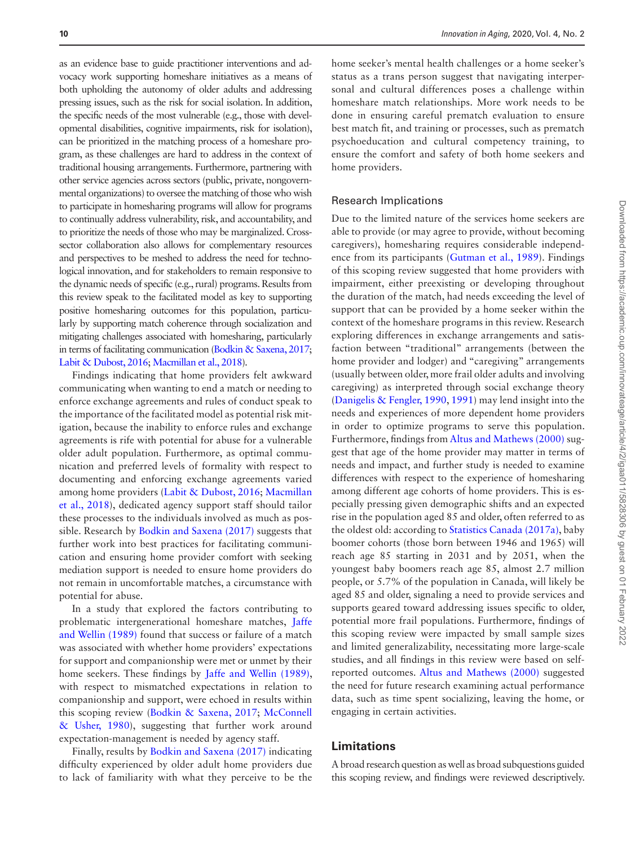as an evidence base to guide practitioner interventions and advocacy work supporting homeshare initiatives as a means of both upholding the autonomy of older adults and addressing pressing issues, such as the risk for social isolation. In addition, the specific needs of the most vulnerable (e.g., those with developmental disabilities, cognitive impairments, risk for isolation), can be prioritized in the matching process of a homeshare program, as these challenges are hard to address in the context of traditional housing arrangements. Furthermore, partnering with other service agencies across sectors (public, private, nongovernmental organizations) to oversee the matching of those who wish to participate in homesharing programs will allow for programs to continually address vulnerability, risk, and accountability, and to prioritize the needs of those who may be marginalized. Crosssector collaboration also allows for complementary resources and perspectives to be meshed to address the need for technological innovation, and for stakeholders to remain responsive to the dynamic needs of specific (e.g., rural) programs. Results from this review speak to the facilitated model as key to supporting positive homesharing outcomes for this population, particularly by supporting match coherence through socialization and mitigating challenges associated with homesharing, particularly in terms of facilitating communication [\(Bodkin & Saxena, 2017](#page-10-12); [Labit & Dubost, 2016;](#page-11-23) [Macmillan et al., 2018\)](#page-11-24).

Findings indicating that home providers felt awkward communicating when wanting to end a match or needing to enforce exchange agreements and rules of conduct speak to the importance of the facilitated model as potential risk mitigation, because the inability to enforce rules and exchange agreements is rife with potential for abuse for a vulnerable older adult population. Furthermore, as optimal communication and preferred levels of formality with respect to documenting and enforcing exchange agreements varied among home providers ([Labit & Dubost, 2016;](#page-11-23) [Macmillan](#page-11-24)  [et al., 2018](#page-11-24)), dedicated agency support staff should tailor these processes to the individuals involved as much as possible. Research by [Bodkin and Saxena \(2017\)](#page-10-12) suggests that further work into best practices for facilitating communication and ensuring home provider comfort with seeking mediation support is needed to ensure home providers do not remain in uncomfortable matches, a circumstance with potential for abuse.

In a study that explored the factors contributing to problematic intergenerational homeshare matches, [Jaffe](#page-11-25)  [and Wellin \(1989\)](#page-11-25) found that success or failure of a match was associated with whether home providers' expectations for support and companionship were met or unmet by their home seekers. These findings by [Jaffe and Wellin \(1989\)](#page-11-25), with respect to mismatched expectations in relation to companionship and support, were echoed in results within this scoping review ([Bodkin & Saxena, 2017;](#page-10-12) [McConnell](#page-11-26)  [& Usher, 1980\)](#page-11-26), suggesting that further work around expectation-management is needed by agency staff.

Finally, results by [Bodkin and Saxena \(2017\)](#page-10-12) indicating difficulty experienced by older adult home providers due to lack of familiarity with what they perceive to be the home seeker's mental health challenges or a home seeker's status as a trans person suggest that navigating interpersonal and cultural differences poses a challenge within homeshare match relationships. More work needs to be done in ensuring careful prematch evaluation to ensure best match fit, and training or processes, such as prematch psychoeducation and cultural competency training, to ensure the comfort and safety of both home seekers and home providers.

# Research Implications

Due to the limited nature of the services home seekers are able to provide (or may agree to provide, without becoming caregivers), homesharing requires considerable independence from its participants [\(Gutman et al., 1989](#page-11-10)). Findings of this scoping review suggested that home providers with impairment, either preexisting or developing throughout the duration of the match, had needs exceeding the level of support that can be provided by a home seeker within the context of the homeshare programs in this review. Research exploring differences in exchange arrangements and satisfaction between "traditional" arrangements (between the home provider and lodger) and "caregiving" arrangements (usually between older, more frail older adults and involving caregiving) as interpreted through social exchange theory ([Danigelis & Fengler, 1990,](#page-10-1) [1991\)](#page-10-7) may lend insight into the needs and experiences of more dependent home providers in order to optimize programs to serve this population. Furthermore, findings from [Altus and Mathews \(2000\)](#page-10-8) suggest that age of the home provider may matter in terms of needs and impact, and further study is needed to examine differences with respect to the experience of homesharing among different age cohorts of home providers. This is especially pressing given demographic shifts and an expected rise in the population aged 85 and older, often referred to as the oldest old: according to [Statistics Canada \(2017a\),](#page-11-29) baby boomer cohorts (those born between 1946 and 1965) will reach age 85 starting in 2031 and by 2051, when the youngest baby boomers reach age 85, almost 2.7 million people, or 5.7% of the population in Canada, will likely be aged 85 and older, signaling a need to provide services and supports geared toward addressing issues specific to older, potential more frail populations. Furthermore, findings of this scoping review were impacted by small sample sizes and limited generalizability, necessitating more large-scale studies, and all findings in this review were based on selfreported outcomes. [Altus and Mathews \(2000\)](#page-10-8) suggested the need for future research examining actual performance data, such as time spent socializing, leaving the home, or engaging in certain activities.

# **Limitations**

A broad research question as well as broad subquestions guided this scoping review, and findings were reviewed descriptively.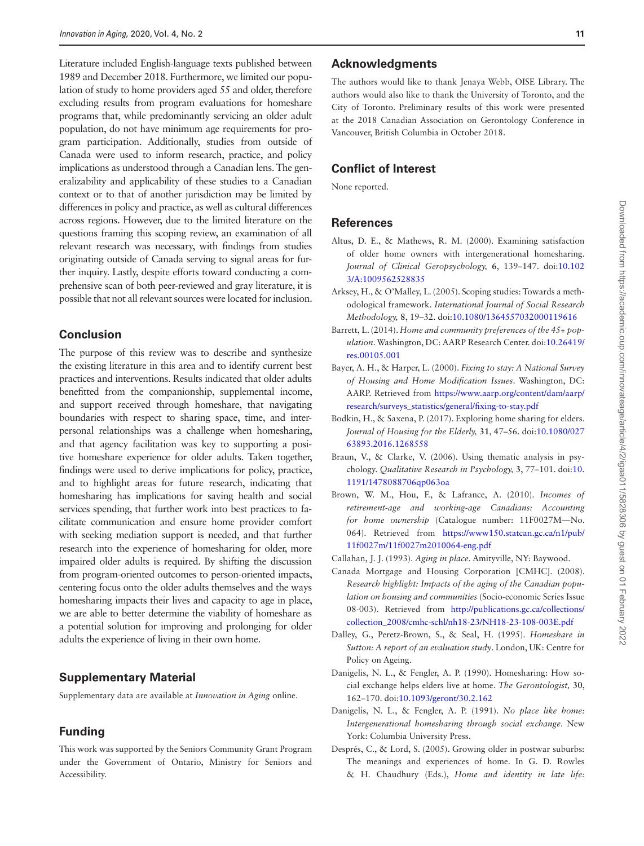Literature included English-language texts published between 1989 and December 2018. Furthermore, we limited our population of study to home providers aged 55 and older, therefore excluding results from program evaluations for homeshare programs that, while predominantly servicing an older adult population, do not have minimum age requirements for program participation. Additionally, studies from outside of Canada were used to inform research, practice, and policy implications as understood through a Canadian lens. The generalizability and applicability of these studies to a Canadian context or to that of another jurisdiction may be limited by differences in policy and practice, as well as cultural differences across regions. However, due to the limited literature on the questions framing this scoping review, an examination of all relevant research was necessary, with findings from studies originating outside of Canada serving to signal areas for further inquiry. Lastly, despite efforts toward conducting a comprehensive scan of both peer-reviewed and gray literature, it is possible that not all relevant sources were located for inclusion.

# **Conclusion**

The purpose of this review was to describe and synthesize the existing literature in this area and to identify current best practices and interventions. Results indicated that older adults benefitted from the companionship, supplemental income, and support received through homeshare, that navigating boundaries with respect to sharing space, time, and interpersonal relationships was a challenge when homesharing, and that agency facilitation was key to supporting a positive homeshare experience for older adults. Taken together, findings were used to derive implications for policy, practice, and to highlight areas for future research, indicating that homesharing has implications for saving health and social services spending, that further work into best practices to facilitate communication and ensure home provider comfort with seeking mediation support is needed, and that further research into the experience of homesharing for older, more impaired older adults is required. By shifting the discussion from program-oriented outcomes to person-oriented impacts, centering focus onto the older adults themselves and the ways homesharing impacts their lives and capacity to age in place, we are able to better determine the viability of homeshare as a potential solution for improving and prolonging for older adults the experience of living in their own home.

# **Supplementary Material**

Supplementary data are available at *Innovation in Aging* online.

# **Funding**

This work was supported by the Seniors Community Grant Program under the Government of Ontario, Ministry for Seniors and Accessibility.

# **Acknowledgments**

The authors would like to thank Jenaya Webb, OISE Library. The authors would also like to thank the University of Toronto, and the City of Toronto. Preliminary results of this work were presented at the 2018 Canadian Association on Gerontology Conference in Vancouver, British Columbia in October 2018.

# **Conflict of Interest**

None reported.

#### **References**

- <span id="page-10-8"></span>Altus, D. E., & Mathews, R. M. (2000). Examining satisfaction of older home owners with intergenerational homesharing. *Journal of Clinical Geropsychology,* **6**, 139–147. doi[:10.102](https://doi.org/10.1023/A:1009562528835) [3/A:1009562528835](https://doi.org/10.1023/A:1009562528835)
- <span id="page-10-9"></span>Arksey, H., & O'Malley, L. (2005). Scoping studies: Towards a methodological framework. *International Journal of Social Research Methodology,* **8**, 19–32. doi[:10.1080/1364557032000119616](https://doi.org/10.1080/1364557032000119616)
- <span id="page-10-4"></span>Barrett, L. (2014). *Home and community preferences of the 45+ population*. Washington, DC: AARP Research Center. doi[:10.26419/](https://doi.org/10.26419/res.00105.001) [res.00105.001](https://doi.org/10.26419/res.00105.001)
- <span id="page-10-5"></span>Bayer, A. H., & Harper, L. (2000). *Fixing to stay: A National Survey of Housing and Home Modification Issues*. Washington, DC: AARP. Retrieved from [https://www.aarp.org/content/dam/aarp/](https://www.aarp.org/content/dam/aarp/research/surveys_statistics/general/fixing-to-stay.pdf) [research/surveys\\_statistics/general/fixing-to-stay.pdf](https://www.aarp.org/content/dam/aarp/research/surveys_statistics/general/fixing-to-stay.pdf)
- <span id="page-10-12"></span>Bodkin, H., & Saxena, P. (2017). Exploring home sharing for elders. *Journal of Housing for the Elderly,* **31**, 47–56. doi[:10.1080/027](https://doi.org/10.1080/02763893.2016.1268558) [63893.2016.1268558](https://doi.org/10.1080/02763893.2016.1268558)
- <span id="page-10-11"></span>Braun, V., & Clarke, V. (2006). Using thematic analysis in psychology. *Qualitative Research in Psychology,* **3**, 77–101. doi:[10.](https://doi.org/10.1191/1478088706qp063oa) [1191/1478088706qp063oa](https://doi.org/10.1191/1478088706qp063oa)
- <span id="page-10-2"></span>Brown, W. M., Hou, F., & Lafrance, A. (2010). *Incomes of retirement-age and working-age Canadians: Accounting for home ownership* (Catalogue number: 11F0027M—No. 064). Retrieved from [https://www150.statcan.gc.ca/n1/pub/](https://www150.statcan.gc.ca/n1/pub/11f0027m/11f0027m2010064-eng.pdf) [11f0027m/11f0027m2010064-eng.pdf](https://www150.statcan.gc.ca/n1/pub/11f0027m/11f0027m2010064-eng.pdf)
- <span id="page-10-6"></span>Callahan, J. J. (1993). *Aging in place*. Amityville, NY: Baywood.
- <span id="page-10-3"></span>Canada Mortgage and Housing Corporation [CMHC]. (2008). *Research highlight: Impacts of the aging of the Canadian population on housing and communities* (Socio-economic Series Issue 08-003). Retrieved from [http://publications.gc.ca/collections/](http://publications.gc.ca/collections/collection_2008/cmhc-schl/nh18-23/NH18-23-108-003E.pdf) [collection\\_2008/cmhc-schl/nh18-23/NH18-23-108-003E.pdf](http://publications.gc.ca/collections/collection_2008/cmhc-schl/nh18-23/NH18-23-108-003E.pdf)
- <span id="page-10-10"></span>Dalley, G., Peretz-Brown, S., & Seal, H. (1995). *Homeshare in Sutton: A report of an evaluation study*. London, UK: Centre for Policy on Ageing.
- <span id="page-10-1"></span>Danigelis, N. L., & Fengler, A. P. (1990). Homesharing: How social exchange helps elders live at home. *The Gerontologist,* **30**, 162–170. doi:[10.1093/geront/30.2.162](https://doi.org/10.1093/geront/30.2.162)
- <span id="page-10-7"></span>Danigelis, N. L., & Fengler, A. P. (1991). *No place like home: Intergenerational homesharing through social exchange*. New York: Columbia University Press.
- <span id="page-10-0"></span>Després, C., & Lord, S. (2005). Growing older in postwar suburbs: The meanings and experiences of home. In G. D. Rowles & H. Chaudhury (Eds.), *Home and identity in late life:*